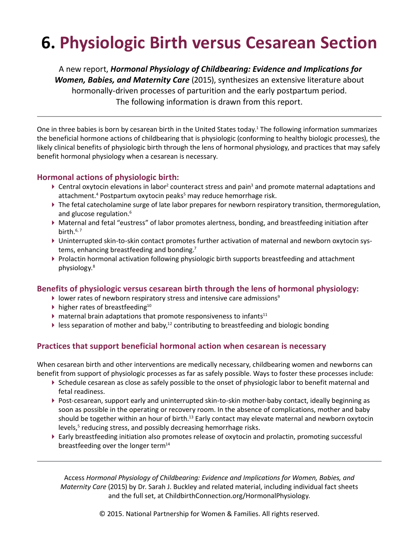# **6. Physiologic Birth versus Cesarean Section**

A new report, *Hormonal Physiology of Childbearing: Evidence and Implications for Women, Babies, and Maternity Care* (2015), synthesizes an extensive literature about hormonally-driven processes of parturition and the early postpartum period. The following information is drawn from this report.

One in three babies is born by cesarean birth in the United States today.<sup>1</sup> The following information summarizes the beneficial hormone actions of childbearing that is physiologic (conforming to healthy biologic processes), the likely clinical benefits of physiologic birth through the lens of hormonal physiology, and practices that may safely benefit hormonal physiology when a cesarean is necessary.

## **Hormonal actions of physiologic birth:**

- ▶ Central oxytocin elevations in labor<sup>2</sup> counteract stress and pain<sup>3</sup> and promote maternal adaptations and attachment.<sup>4</sup> Postpartum oxytocin peaks<sup>5</sup> may reduce hemorrhage risk.
- The fetal catecholamine surge of late labor prepares for newborn respiratory transition, thermoregulation, and glucose regulation.<sup>6</sup>
- Maternal and fetal "eustress" of labor promotes alertness, bonding, and breastfeeding initiation after birth. $6, 7$
- Uninterrupted skin-to-skin contact promotes further activation of maternal and newborn oxytocin systems, enhancing breastfeeding and bonding.<sup>7</sup>
- Prolactin hormonal activation following physiologic birth supports breastfeeding and attachment physiology.8

## **Benefits of physiologic versus cesarean birth through the lens of hormonal physiology:**

- $\blacktriangleright$  lower rates of newborn respiratory stress and intensive care admissions<sup>9</sup>
- $\blacktriangleright$  higher rates of breastfeeding<sup>10</sup>
- $\blacktriangleright$  maternal brain adaptations that promote responsiveness to infants<sup>11</sup>
- Eless separation of mother and baby,<sup>12</sup> contributing to breastfeeding and biologic bonding

## **Practices that support beneficial hormonal action when cesarean is necessary**

When cesarean birth and other interventions are medically necessary, childbearing women and newborns can benefit from support of physiologic processes as far as safely possible. Ways to foster these processes include:

- Schedule cesarean as close as safely possible to the onset of physiologic labor to benefit maternal and fetal readiness.
- Post-cesarean, support early and uninterrupted skin-to-skin mother-baby contact, ideally beginning as soon as possible in the operating or recovery room. In the absence of complications, mother and baby should be together within an hour of birth.<sup>13</sup> Early contact may elevate maternal and newborn oxytocin levels,<sup>5</sup> reducing stress, and possibly decreasing hemorrhage risks.
- Early breastfeeding initiation also promotes release of oxytocin and prolactin, promoting successful breastfeeding over the longer term $14$

Access *Hormonal Physiology of Childbearing: Evidence and Implications for Women, Babies, and Maternity Care* (2015) by Dr. Sarah J. Buckley and related material, including individual fact sheets and the full set, at [ChildbirthConnection.org/HormonalPhysiology.](http://www.ChildbirthConnection.org/HormonalPhysiology)